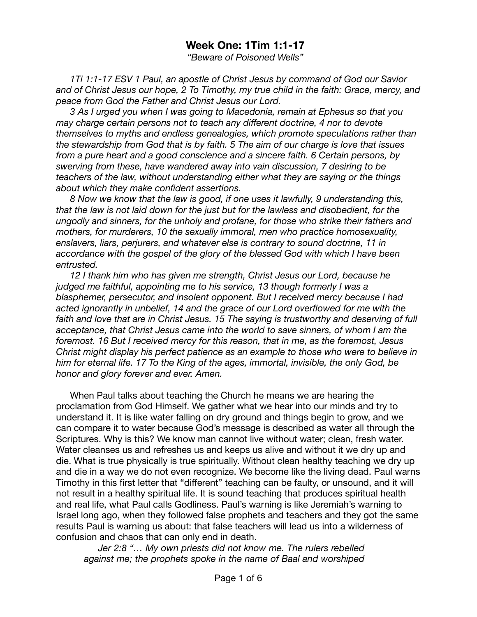## **Week One: 1Tim 1:1-17**

*"Beware of Poisoned Wells"* 

*1Ti 1:1-17 ESV 1 Paul, an apostle of Christ Jesus by command of God our Savior and of Christ Jesus our hope, 2 To Timothy, my true child in the faith: Grace, mercy, and peace from God the Father and Christ Jesus our Lord.* 

*3 As I urged you when I was going to Macedonia, remain at Ephesus so that you may charge certain persons not to teach any different doctrine, 4 nor to devote themselves to myths and endless genealogies, which promote speculations rather than the stewardship from God that is by faith. 5 The aim of our charge is love that issues from a pure heart and a good conscience and a sincere faith. 6 Certain persons, by swerving from these, have wandered away into vain discussion, 7 desiring to be teachers of the law, without understanding either what they are saying or the things about which they make confident assertions.* 

*8 Now we know that the law is good, if one uses it lawfully, 9 understanding this, that the law is not laid down for the just but for the lawless and disobedient, for the ungodly and sinners, for the unholy and profane, for those who strike their fathers and mothers, for murderers, 10 the sexually immoral, men who practice homosexuality, enslavers, liars, perjurers, and whatever else is contrary to sound doctrine, 11 in accordance with the gospel of the glory of the blessed God with which I have been entrusted.* 

*12 I thank him who has given me strength, Christ Jesus our Lord, because he judged me faithful, appointing me to his service, 13 though formerly I was a blasphemer, persecutor, and insolent opponent. But I received mercy because I had acted ignorantly in unbelief, 14 and the grace of our Lord overflowed for me with the*  faith and love that are in Christ Jesus. 15 The saying is trustworthy and deserving of full *acceptance, that Christ Jesus came into the world to save sinners, of whom I am the foremost. 16 But I received mercy for this reason, that in me, as the foremost, Jesus Christ might display his perfect patience as an example to those who were to believe in him for eternal life. 17 To the King of the ages, immortal, invisible, the only God, be honor and glory forever and ever. Amen.* 

When Paul talks about teaching the Church he means we are hearing the proclamation from God Himself. We gather what we hear into our minds and try to understand it. It is like water falling on dry ground and things begin to grow, and we can compare it to water because God's message is described as water all through the Scriptures. Why is this? We know man cannot live without water; clean, fresh water. Water cleanses us and refreshes us and keeps us alive and without it we dry up and die. What is true physically is true spiritually. Without clean healthy teaching we dry up and die in a way we do not even recognize. We become like the living dead. Paul warns Timothy in this first letter that "different" teaching can be faulty, or unsound, and it will not result in a healthy spiritual life. It is sound teaching that produces spiritual health and real life, what Paul calls Godliness. Paul's warning is like Jeremiah's warning to Israel long ago, when they followed false prophets and teachers and they got the same results Paul is warning us about: that false teachers will lead us into a wilderness of confusion and chaos that can only end in death.

*Jer 2:8 "… My own priests did not know me. The rulers rebelled against me; the prophets spoke in the name of Baal and worshiped*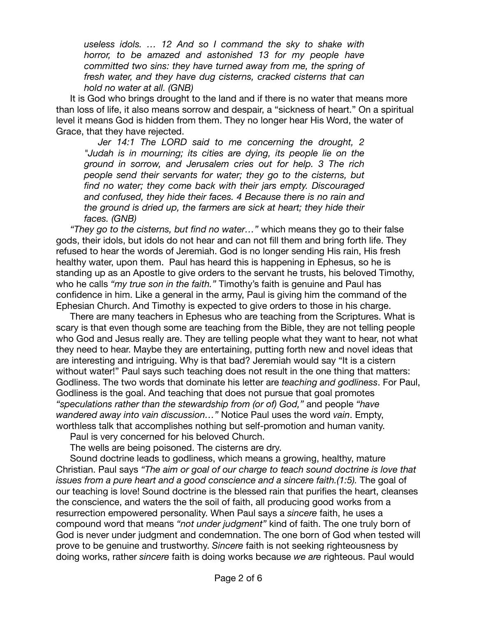*useless idols. … 12 And so I command the sky to shake with horror, to be amazed and astonished 13 for my people have committed two sins: they have turned away from me, the spring of fresh water, and they have dug cisterns, cracked cisterns that can hold no water at all. (GNB)* 

It is God who brings drought to the land and if there is no water that means more than loss of life, it also means sorrow and despair, a "sickness of heart." On a spiritual level it means God is hidden from them. They no longer hear His Word, the water of Grace, that they have rejected.

*Jer 14:1 The LORD said to me concerning the drought, 2 "Judah is in mourning; its cities are dying, its people lie on the ground in sorrow, and Jerusalem cries out for help. 3 The rich people send their servants for water; they go to the cisterns, but find no water; they come back with their jars empty. Discouraged and confused, they hide their faces. 4 Because there is no rain and the ground is dried up, the farmers are sick at heart; they hide their faces. (GNB)* 

*"They go to the cisterns, but find no water…"* which means they go to their false gods, their idols, but idols do not hear and can not fill them and bring forth life. They refused to hear the words of Jeremiah. God is no longer sending His rain, His fresh healthy water, upon them. Paul has heard this is happening in Ephesus, so he is standing up as an Apostle to give orders to the servant he trusts, his beloved Timothy, who he calls *"my true son in the faith."* Timothy's faith is genuine and Paul has confidence in him. Like a general in the army, Paul is giving him the command of the Ephesian Church. And Timothy is expected to give orders to those in his charge.

There are many teachers in Ephesus who are teaching from the Scriptures. What is scary is that even though some are teaching from the Bible, they are not telling people who God and Jesus really are. They are telling people what they want to hear, not what they need to hear. Maybe they are entertaining, putting forth new and novel ideas that are interesting and intriguing. Why is that bad? Jeremiah would say "It is a cistern without water!" Paul says such teaching does not result in the one thing that matters: Godliness. The two words that dominate his letter are *teaching and godliness*. For Paul, Godliness is the goal. And teaching that does not pursue that goal promotes *"speculations rather than the stewardship from (or of) God,"* and people *"have wandered away into vain discussion…"* Notice Paul uses the word *vain*. Empty, worthless talk that accomplishes nothing but self-promotion and human vanity.

Paul is very concerned for his beloved Church.

The wells are being poisoned. The cisterns are dry.

Sound doctrine leads to godliness, which means a growing, healthy, mature Christian. Paul says *"The aim or goal of our charge to teach sound doctrine is love that issues from a pure heart and a good conscience and a sincere faith.(1:5).* The goal of our teaching is love! Sound doctrine is the blessed rain that purifies the heart, cleanses the conscience, and waters the the soil of faith, all producing good works from a resurrection empowered personality. When Paul says a *sincere* faith, he uses a compound word that means *"not under judgment"* kind of faith. The one truly born of God is never under judgment and condemnation. The one born of God when tested will prove to be genuine and trustworthy. *Sincere* faith is not seeking righteousness by doing works, rather *sincere* faith is doing works because *we are* righteous. Paul would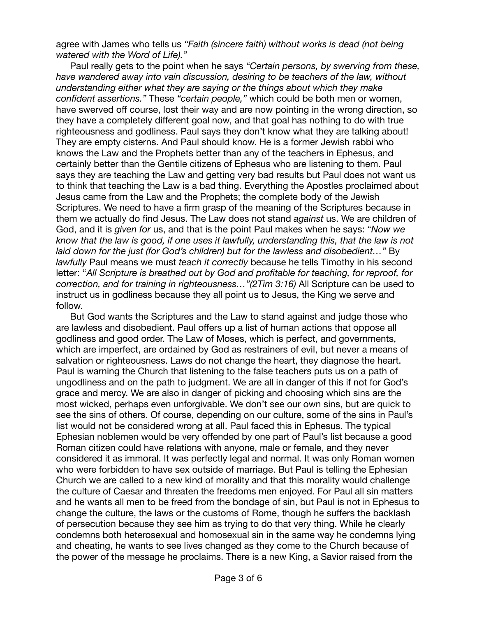agree with James who tells us *"Faith (sincere faith) without works is dead (not being watered with the Word of Life)."* 

Paul really gets to the point when he says *"Certain persons, by swerving from these, have wandered away into vain discussion, desiring to be teachers of the law, without understanding either what they are saying or the things about which they make confident assertions."* These *"certain people,"* which could be both men or women, have swerved off course, lost their way and are now pointing in the wrong direction, so they have a completely different goal now, and that goal has nothing to do with true righteousness and godliness. Paul says they don't know what they are talking about! They are empty cisterns. And Paul should know. He is a former Jewish rabbi who knows the Law and the Prophets better than any of the teachers in Ephesus, and certainly better than the Gentile citizens of Ephesus who are listening to them. Paul says they are teaching the Law and getting very bad results but Paul does not want us to think that teaching the Law is a bad thing. Everything the Apostles proclaimed about Jesus came from the Law and the Prophets; the complete body of the Jewish Scriptures. We need to have a firm grasp of the meaning of the Scriptures because in them we actually do find Jesus. The Law does not stand *against* us. We are children of God, and it is *given for* us, and that is the point Paul makes when he says: "*Now we know that the law is good, if one uses it lawfully, understanding this, that the law is not*  laid down for the just (for God's children) but for the lawless and disobedient..." By *lawfully* Paul means we must *teach it correctly* because he tells Timothy in his second letter: "*All Scripture is breathed out by God and profitable for teaching, for reproof, for correction, and for training in righteousness…"(2Tim 3:16)* All Scripture can be used to instruct us in godliness because they all point us to Jesus, the King we serve and follow.

But God wants the Scriptures and the Law to stand against and judge those who are lawless and disobedient. Paul offers up a list of human actions that oppose all godliness and good order. The Law of Moses, which is perfect, and governments, which are imperfect, are ordained by God as restrainers of evil, but never a means of salvation or righteousness. Laws do not change the heart, they diagnose the heart. Paul is warning the Church that listening to the false teachers puts us on a path of ungodliness and on the path to judgment. We are all in danger of this if not for God's grace and mercy. We are also in danger of picking and choosing which sins are the most wicked, perhaps even unforgivable. We don't see our own sins, but are quick to see the sins of others. Of course, depending on our culture, some of the sins in Paul's list would not be considered wrong at all. Paul faced this in Ephesus. The typical Ephesian noblemen would be very offended by one part of Paul's list because a good Roman citizen could have relations with anyone, male or female, and they never considered it as immoral. It was perfectly legal and normal. It was only Roman women who were forbidden to have sex outside of marriage. But Paul is telling the Ephesian Church we are called to a new kind of morality and that this morality would challenge the culture of Caesar and threaten the freedoms men enjoyed. For Paul all sin matters and he wants all men to be freed from the bondage of sin, but Paul is not in Ephesus to change the culture, the laws or the customs of Rome, though he suffers the backlash of persecution because they see him as trying to do that very thing. While he clearly condemns both heterosexual and homosexual sin in the same way he condemns lying and cheating, he wants to see lives changed as they come to the Church because of the power of the message he proclaims. There is a new King, a Savior raised from the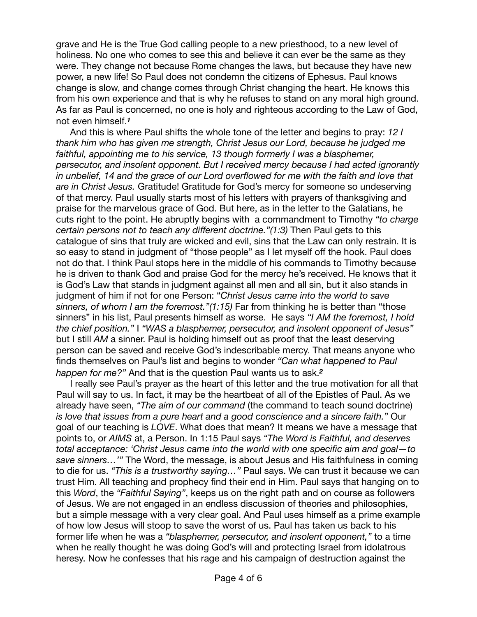grave and He is the True God calling people to a new priesthood, to a new level of holiness. No one who comes to see this and believe it can ever be the same as they were. They change not because Rome changes the laws, but because they have new power, a new life! So Paul does not condemn the citizens of Ephesus. Paul knows change is slow, and change comes through Christ changing the heart. He knows this from his own experience and that is why he refuses to stand on any moral high ground. As far as Paul is concerned, no one is holy and righteous according to the Law of God, not even himself.*<sup>1</sup>*

And this is where Paul shifts the whole tone of the letter and begins to pray: *12 I thank him who has given me strength, Christ Jesus our Lord, because he judged me*  faithful, appointing me to his service, 13 though formerly I was a blasphemer, *persecutor, and insolent opponent. But I received mercy because I had acted ignorantly in unbelief, 14 and the grace of our Lord overflowed for me with the faith and love that are in Christ Jesus.* Gratitude! Gratitude for God's mercy for someone so undeserving of that mercy. Paul usually starts most of his letters with prayers of thanksgiving and praise for the marvelous grace of God. But here, as in the letter to the Galatians, he cuts right to the point. He abruptly begins with a commandment to Timothy *"to charge certain persons not to teach any different doctrine."(1:3)* Then Paul gets to this catalogue of sins that truly are wicked and evil, sins that the Law can only restrain. It is so easy to stand in judgment of "those people" as I let myself off the hook. Paul does not do that. I think Paul stops here in the middle of his commands to Timothy because he is driven to thank God and praise God for the mercy he's received. He knows that it is God's Law that stands in judgment against all men and all sin, but it also stands in judgment of him if not for one Person: "*Christ Jesus came into the world to save sinners, of whom I am the foremost."(1:15)* Far from thinking he is better than "those sinners" in his list, Paul presents himself as worse. He says *"I AM the foremost, I hold the chief position."* I *"WAS a blasphemer, persecutor, and insolent opponent of Jesus"* but I still *AM* a sinner. Paul is holding himself out as proof that the least deserving person can be saved and receive God's indescribable mercy. That means anyone who finds themselves on Paul's list and begins to wonder *"Can what happened to Paul happen for me?"* And that is the question Paul wants us to ask.*<sup>2</sup>*

I really see Paul's prayer as the heart of this letter and the true motivation for all that Paul will say to us. In fact, it may be the heartbeat of all of the Epistles of Paul. As we already have seen, *"The aim of our command* (the command to teach sound doctrine) *is love that issues from a pure heart and a good conscience and a sincere faith."* Our goal of our teaching is *LOVE*. What does that mean? It means we have a message that points to, or *AIMS* at, a Person. In 1:15 Paul says *"The Word is Faithful, and deserves total acceptance: 'Christ Jesus came into the world with one specific aim and goal—to save sinners…'"* The Word, the message, is about Jesus and His faithfulness in coming to die for us. *"This is a trustworthy saying…"* Paul says. We can trust it because we can trust Him. All teaching and prophecy find their end in Him. Paul says that hanging on to this *Word*, the *"Faithful Saying"*, keeps us on the right path and on course as followers of Jesus. We are not engaged in an endless discussion of theories and philosophies, but a simple message with a very clear goal. And Paul uses himself as a prime example of how low Jesus will stoop to save the worst of us. Paul has taken us back to his former life when he was a *"blasphemer, persecutor, and insolent opponent,"* to a time when he really thought he was doing God's will and protecting Israel from idolatrous heresy. Now he confesses that his rage and his campaign of destruction against the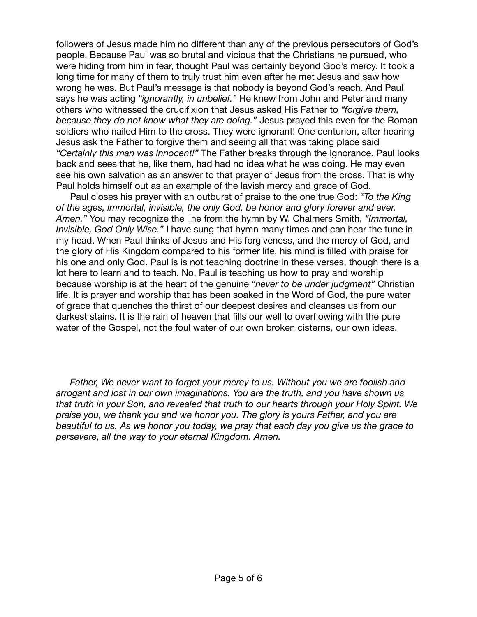followers of Jesus made him no different than any of the previous persecutors of God's people. Because Paul was so brutal and vicious that the Christians he pursued, who were hiding from him in fear, thought Paul was certainly beyond God's mercy. It took a long time for many of them to truly trust him even after he met Jesus and saw how wrong he was. But Paul's message is that nobody is beyond God's reach. And Paul says he was acting *"ignorantly, in unbelief."* He knew from John and Peter and many others who witnessed the crucifixion that Jesus asked His Father to *"forgive them, because they do not know what they are doing."* Jesus prayed this even for the Roman soldiers who nailed Him to the cross. They were ignorant! One centurion, after hearing Jesus ask the Father to forgive them and seeing all that was taking place said *"Certainly this man was innocent!"* The Father breaks through the ignorance. Paul looks back and sees that he, like them, had had no idea what he was doing. He may even see his own salvation as an answer to that prayer of Jesus from the cross. That is why Paul holds himself out as an example of the lavish mercy and grace of God.

Paul closes his prayer with an outburst of praise to the one true God: "*To the King of the ages, immortal, invisible, the only God, be honor and glory forever and ever. Amen."* You may recognize the line from the hymn by W. Chalmers Smith, *"Immortal, Invisible, God Only Wise."* I have sung that hymn many times and can hear the tune in my head. When Paul thinks of Jesus and His forgiveness, and the mercy of God, and the glory of His Kingdom compared to his former life, his mind is filled with praise for his one and only God. Paul is is not teaching doctrine in these verses, though there is a lot here to learn and to teach. No, Paul is teaching us how to pray and worship because worship is at the heart of the genuine *"never to be under judgment"* Christian life. It is prayer and worship that has been soaked in the Word of God, the pure water of grace that quenches the thirst of our deepest desires and cleanses us from our darkest stains. It is the rain of heaven that fills our well to overflowing with the pure water of the Gospel, not the foul water of our own broken cisterns, our own ideas.

*Father, We never want to forget your mercy to us. Without you we are foolish and arrogant and lost in our own imaginations. You are the truth, and you have shown us that truth in your Son, and revealed that truth to our hearts through your Holy Spirit. We praise you, we thank you and we honor you. The glory is yours Father, and you are beautiful to us. As we honor you today, we pray that each day you give us the grace to persevere, all the way to your eternal Kingdom. Amen.*